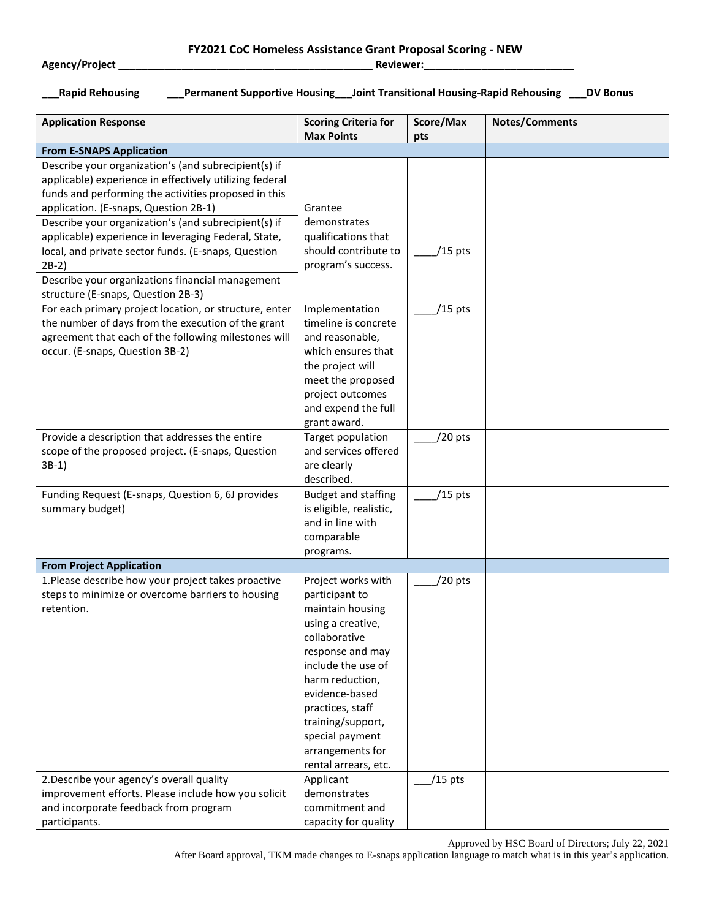## **Agency/Project \_\_\_\_\_\_\_\_\_\_\_\_\_\_\_\_\_\_\_\_\_\_\_\_\_\_\_\_\_\_\_\_\_\_\_\_\_\_\_\_\_\_\_\_ Reviewer:\_\_\_\_\_\_\_\_\_\_\_\_\_\_\_\_\_\_\_\_\_\_\_\_\_\_**

**FY2021 CoC Homeless Assistance Grant Proposal Scoring - NEW**

**\_\_\_Rapid Rehousing \_\_\_Permanent Supportive Housing\_\_\_Joint Transitional Housing-Rapid Rehousing \_\_\_DV Bonus**

| <b>Application Response</b>                             | <b>Scoring Criteria for</b>        | Score/Max | <b>Notes/Comments</b> |
|---------------------------------------------------------|------------------------------------|-----------|-----------------------|
| <b>From E-SNAPS Application</b>                         | <b>Max Points</b>                  | pts       |                       |
| Describe your organization's (and subrecipient(s) if    |                                    |           |                       |
| applicable) experience in effectively utilizing federal |                                    |           |                       |
| funds and performing the activities proposed in this    |                                    |           |                       |
| application. (E-snaps, Question 2B-1)                   | Grantee                            |           |                       |
| Describe your organization's (and subrecipient(s) if    | demonstrates                       |           |                       |
| applicable) experience in leveraging Federal, State,    | qualifications that                |           |                       |
| local, and private sector funds. (E-snaps, Question     | should contribute to               | $/15$ pts |                       |
| $2B-2)$                                                 | program's success.                 |           |                       |
| Describe your organizations financial management        |                                    |           |                       |
| structure (E-snaps, Question 2B-3)                      |                                    |           |                       |
| For each primary project location, or structure, enter  | Implementation                     | $/15$ pts |                       |
| the number of days from the execution of the grant      | timeline is concrete               |           |                       |
| agreement that each of the following milestones will    | and reasonable,                    |           |                       |
| occur. (E-snaps, Question 3B-2)                         | which ensures that                 |           |                       |
|                                                         | the project will                   |           |                       |
|                                                         | meet the proposed                  |           |                       |
|                                                         | project outcomes                   |           |                       |
|                                                         | and expend the full                |           |                       |
|                                                         | grant award.                       |           |                       |
| Provide a description that addresses the entire         | Target population                  | /20 pts   |                       |
| scope of the proposed project. (E-snaps, Question       | and services offered               |           |                       |
| $3B-1)$                                                 | are clearly                        |           |                       |
|                                                         | described.                         |           |                       |
| Funding Request (E-snaps, Question 6, 6J provides       | <b>Budget and staffing</b>         | $/15$ pts |                       |
| summary budget)                                         | is eligible, realistic,            |           |                       |
|                                                         | and in line with                   |           |                       |
|                                                         | comparable                         |           |                       |
|                                                         | programs.                          |           |                       |
| <b>From Project Application</b>                         |                                    |           |                       |
| 1. Please describe how your project takes proactive     | Project works with                 | /20 pts   |                       |
| steps to minimize or overcome barriers to housing       | participant to                     |           |                       |
| retention.                                              | maintain housing                   |           |                       |
|                                                         | using a creative,<br>collaborative |           |                       |
|                                                         | response and may                   |           |                       |
|                                                         | include the use of                 |           |                       |
|                                                         | harm reduction,                    |           |                       |
|                                                         | evidence-based                     |           |                       |
|                                                         | practices, staff                   |           |                       |
|                                                         | training/support,                  |           |                       |
|                                                         | special payment                    |           |                       |
|                                                         | arrangements for                   |           |                       |
|                                                         | rental arrears, etc.               |           |                       |
| 2. Describe your agency's overall quality               | Applicant                          | $/15$ pts |                       |
| improvement efforts. Please include how you solicit     | demonstrates                       |           |                       |
| and incorporate feedback from program                   | commitment and                     |           |                       |
| participants.                                           | capacity for quality               |           |                       |

Approved by HSC Board of Directors; July 22, 2021

After Board approval, TKM made changes to E-snaps application language to match what is in this year's application.